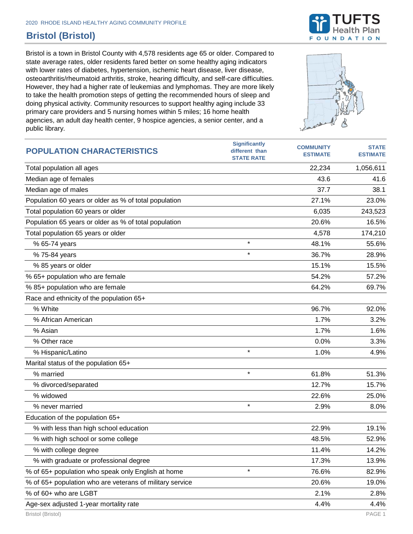

## **Bristol (Bristol)**

Bristol is a town in Bristol County with 4,578 residents age 65 or older. Compared to state average rates, older residents fared better on some healthy aging indicators with lower rates of diabetes, hypertension, ischemic heart disease, liver disease, osteoarthritis/rheumatoid arthritis, stroke, hearing difficulty, and self-care difficulties. However, they had a higher rate of leukemias and lymphomas. They are more likely to take the health promotion steps of getting the recommended hours of sleep and doing physical activity. Community resources to support healthy aging include 33 primary care providers and 5 nursing homes within 5 miles; 16 home health agencies, an adult day health center, 9 hospice agencies, a senior center, and a public library.



| <b>POPULATION CHARACTERISTICS</b>                        | <b>Significantly</b><br>different than<br><b>STATE RATE</b> | <b>COMMUNITY</b><br><b>ESTIMATE</b> | <b>STATE</b><br><b>ESTIMATE</b> |
|----------------------------------------------------------|-------------------------------------------------------------|-------------------------------------|---------------------------------|
| Total population all ages                                |                                                             | 22,234                              | 1,056,611                       |
| Median age of females                                    |                                                             | 43.6                                | 41.6                            |
| Median age of males                                      |                                                             | 37.7                                | 38.1                            |
| Population 60 years or older as % of total population    |                                                             | 27.1%                               | 23.0%                           |
| Total population 60 years or older                       |                                                             | 6,035                               | 243,523                         |
| Population 65 years or older as % of total population    |                                                             | 20.6%                               | 16.5%                           |
| Total population 65 years or older                       |                                                             | 4,578                               | 174,210                         |
| % 65-74 years                                            | $\star$                                                     | 48.1%                               | 55.6%                           |
| % 75-84 years                                            | $\star$                                                     | 36.7%                               | 28.9%                           |
| % 85 years or older                                      |                                                             | 15.1%                               | 15.5%                           |
| % 65+ population who are female                          |                                                             | 54.2%                               | 57.2%                           |
| % 85+ population who are female                          |                                                             | 64.2%                               | 69.7%                           |
| Race and ethnicity of the population 65+                 |                                                             |                                     |                                 |
| % White                                                  |                                                             | 96.7%                               | 92.0%                           |
| % African American                                       |                                                             | 1.7%                                | 3.2%                            |
| % Asian                                                  |                                                             | 1.7%                                | 1.6%                            |
| % Other race                                             |                                                             | 0.0%                                | 3.3%                            |
| % Hispanic/Latino                                        | $\star$                                                     | 1.0%                                | 4.9%                            |
| Marital status of the population 65+                     |                                                             |                                     |                                 |
| % married                                                | $\star$                                                     | 61.8%                               | 51.3%                           |
| % divorced/separated                                     |                                                             | 12.7%                               | 15.7%                           |
| % widowed                                                |                                                             | 22.6%                               | 25.0%                           |
| % never married                                          | $\star$                                                     | 2.9%                                | 8.0%                            |
| Education of the population 65+                          |                                                             |                                     |                                 |
| % with less than high school education                   |                                                             | 22.9%                               | 19.1%                           |
| % with high school or some college                       |                                                             | 48.5%                               | 52.9%                           |
| % with college degree                                    |                                                             | 11.4%                               | 14.2%                           |
| % with graduate or professional degree                   |                                                             | 17.3%                               | 13.9%                           |
| % of 65+ population who speak only English at home       | $\star$                                                     | 76.6%                               | 82.9%                           |
| % of 65+ population who are veterans of military service |                                                             | 20.6%                               | 19.0%                           |
| % of 60+ who are LGBT                                    |                                                             | 2.1%                                | 2.8%                            |
| Age-sex adjusted 1-year mortality rate                   |                                                             | 4.4%                                | 4.4%                            |
| Bristol (Bristol)                                        |                                                             |                                     | PAGE 1                          |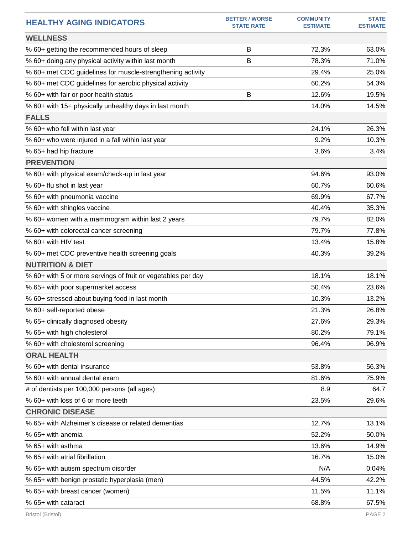| <b>HEALTHY AGING INDICATORS</b>                              | <b>BETTER / WORSE</b><br><b>STATE RATE</b> | <b>COMMUNITY</b><br><b>ESTIMATE</b> | <b>STATE</b><br><b>ESTIMATE</b> |
|--------------------------------------------------------------|--------------------------------------------|-------------------------------------|---------------------------------|
| <b>WELLNESS</b>                                              |                                            |                                     |                                 |
| % 60+ getting the recommended hours of sleep                 | B                                          | 72.3%                               | 63.0%                           |
| % 60+ doing any physical activity within last month          | B                                          | 78.3%                               | 71.0%                           |
| % 60+ met CDC guidelines for muscle-strengthening activity   |                                            | 29.4%                               | 25.0%                           |
| % 60+ met CDC guidelines for aerobic physical activity       |                                            | 60.2%                               | 54.3%                           |
| % 60+ with fair or poor health status                        | B                                          | 12.6%                               | 19.5%                           |
| % 60+ with 15+ physically unhealthy days in last month       |                                            | 14.0%                               | 14.5%                           |
| <b>FALLS</b>                                                 |                                            |                                     |                                 |
| % 60+ who fell within last year                              |                                            | 24.1%                               | 26.3%                           |
| % 60+ who were injured in a fall within last year            |                                            | 9.2%                                | 10.3%                           |
| % 65+ had hip fracture                                       |                                            | 3.6%                                | 3.4%                            |
| <b>PREVENTION</b>                                            |                                            |                                     |                                 |
| % 60+ with physical exam/check-up in last year               |                                            | 94.6%                               | 93.0%                           |
| % 60+ flu shot in last year                                  |                                            | 60.7%                               | 60.6%                           |
| % 60+ with pneumonia vaccine                                 |                                            | 69.9%                               | 67.7%                           |
| % 60+ with shingles vaccine                                  |                                            | 40.4%                               | 35.3%                           |
| % 60+ women with a mammogram within last 2 years             |                                            | 79.7%                               | 82.0%                           |
| % 60+ with colorectal cancer screening                       |                                            | 79.7%                               | 77.8%                           |
| % 60+ with HIV test                                          |                                            | 13.4%                               | 15.8%                           |
| % 60+ met CDC preventive health screening goals              |                                            | 40.3%                               | 39.2%                           |
| <b>NUTRITION &amp; DIET</b>                                  |                                            |                                     |                                 |
| % 60+ with 5 or more servings of fruit or vegetables per day |                                            | 18.1%                               | 18.1%                           |
| % 65+ with poor supermarket access                           |                                            | 50.4%                               | 23.6%                           |
| % 60+ stressed about buying food in last month               |                                            | 10.3%                               | 13.2%                           |
| % 60+ self-reported obese                                    |                                            | 21.3%                               | 26.8%                           |
| % 65+ clinically diagnosed obesity                           |                                            | 27.6%                               | 29.3%                           |
| % 65+ with high cholesterol                                  |                                            | 80.2%                               | 79.1%                           |
| % 60+ with cholesterol screening                             |                                            | 96.4%                               | 96.9%                           |
| <b>ORAL HEALTH</b>                                           |                                            |                                     |                                 |
| % 60+ with dental insurance                                  |                                            | 53.8%                               | 56.3%                           |
| % 60+ with annual dental exam                                |                                            | 81.6%                               | 75.9%                           |
| # of dentists per 100,000 persons (all ages)                 |                                            | 8.9                                 | 64.7                            |
| % 60+ with loss of 6 or more teeth                           |                                            | 23.5%                               | 29.6%                           |
| <b>CHRONIC DISEASE</b>                                       |                                            |                                     |                                 |
| % 65+ with Alzheimer's disease or related dementias          |                                            | 12.7%                               | 13.1%                           |
| % 65+ with anemia                                            |                                            | 52.2%                               | 50.0%                           |
| % 65+ with asthma                                            |                                            | 13.6%                               | 14.9%                           |
| % 65+ with atrial fibrillation                               |                                            | 16.7%                               | 15.0%                           |
| % 65+ with autism spectrum disorder                          |                                            | N/A                                 | 0.04%                           |
| % 65+ with benign prostatic hyperplasia (men)                |                                            | 44.5%                               | 42.2%                           |
| % 65+ with breast cancer (women)                             |                                            | 11.5%                               | 11.1%                           |
| % 65+ with cataract                                          |                                            | 68.8%                               | 67.5%                           |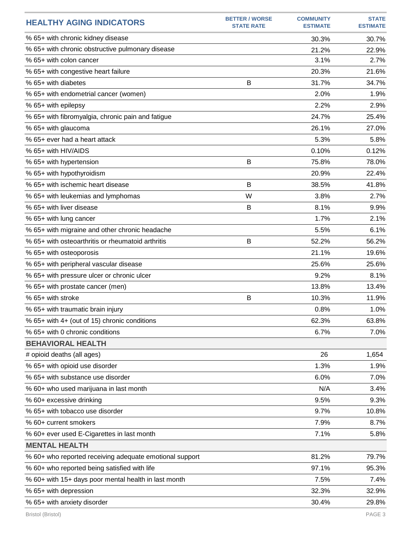| <b>HEALTHY AGING INDICATORS</b>                         | <b>BETTER / WORSE</b><br><b>STATE RATE</b> | <b>COMMUNITY</b><br><b>ESTIMATE</b> | <b>STATE</b><br><b>ESTIMATE</b> |
|---------------------------------------------------------|--------------------------------------------|-------------------------------------|---------------------------------|
| % 65+ with chronic kidney disease                       |                                            | 30.3%                               | 30.7%                           |
| % 65+ with chronic obstructive pulmonary disease        |                                            | 21.2%                               | 22.9%                           |
| % 65+ with colon cancer                                 |                                            | 3.1%                                | 2.7%                            |
| % 65+ with congestive heart failure                     |                                            | 20.3%                               | 21.6%                           |
| % 65+ with diabetes                                     | B                                          | 31.7%                               | 34.7%                           |
| % 65+ with endometrial cancer (women)                   |                                            | 2.0%                                | 1.9%                            |
| % 65+ with epilepsy                                     |                                            | 2.2%                                | 2.9%                            |
| % 65+ with fibromyalgia, chronic pain and fatigue       |                                            | 24.7%                               | 25.4%                           |
| % 65+ with glaucoma                                     |                                            | 26.1%                               | 27.0%                           |
| % 65+ ever had a heart attack                           |                                            | 5.3%                                | 5.8%                            |
| % 65+ with HIV/AIDS                                     |                                            | 0.10%                               | 0.12%                           |
| % 65+ with hypertension                                 | B                                          | 75.8%                               | 78.0%                           |
| % 65+ with hypothyroidism                               |                                            | 20.9%                               | 22.4%                           |
| % 65+ with ischemic heart disease                       | B                                          | 38.5%                               | 41.8%                           |
| % 65+ with leukemias and lymphomas                      | W                                          | 3.8%                                | 2.7%                            |
| % 65+ with liver disease                                | B                                          | 8.1%                                | 9.9%                            |
| % 65+ with lung cancer                                  |                                            | 1.7%                                | 2.1%                            |
| % 65+ with migraine and other chronic headache          |                                            | 5.5%                                | 6.1%                            |
| % 65+ with osteoarthritis or rheumatoid arthritis       | B                                          | 52.2%                               | 56.2%                           |
| % 65+ with osteoporosis                                 |                                            | 21.1%                               | 19.6%                           |
| % 65+ with peripheral vascular disease                  |                                            | 25.6%                               | 25.6%                           |
| % 65+ with pressure ulcer or chronic ulcer              |                                            | 9.2%                                | 8.1%                            |
| % 65+ with prostate cancer (men)                        |                                            | 13.8%                               | 13.4%                           |
| % 65+ with stroke                                       | B                                          | 10.3%                               | 11.9%                           |
| % 65+ with traumatic brain injury                       |                                            | 0.8%                                | 1.0%                            |
| % 65+ with 4+ (out of 15) chronic conditions            |                                            | 62.3%                               | 63.8%                           |
| % 65+ with 0 chronic conditions                         |                                            | 6.7%                                | 7.0%                            |
| <b>BEHAVIORAL HEALTH</b>                                |                                            |                                     |                                 |
| # opioid deaths (all ages)                              |                                            | 26                                  | 1,654                           |
| % 65+ with opioid use disorder                          |                                            | 1.3%                                | 1.9%                            |
| % 65+ with substance use disorder                       |                                            | 6.0%                                | 7.0%                            |
| % 60+ who used marijuana in last month                  |                                            | N/A                                 | 3.4%                            |
| % 60+ excessive drinking                                |                                            | 9.5%                                | 9.3%                            |
| % 65+ with tobacco use disorder                         |                                            | 9.7%                                | 10.8%                           |
| % 60+ current smokers                                   |                                            | 7.9%                                | 8.7%                            |
| % 60+ ever used E-Cigarettes in last month              |                                            | 7.1%                                | 5.8%                            |
| <b>MENTAL HEALTH</b>                                    |                                            |                                     |                                 |
| % 60+ who reported receiving adequate emotional support |                                            | 81.2%                               | 79.7%                           |
| % 60+ who reported being satisfied with life            |                                            | 97.1%                               | 95.3%                           |
| % 60+ with 15+ days poor mental health in last month    |                                            | 7.5%                                | 7.4%                            |
| % 65+ with depression                                   |                                            | 32.3%                               | 32.9%                           |
| % 65+ with anxiety disorder                             |                                            | 30.4%                               | 29.8%                           |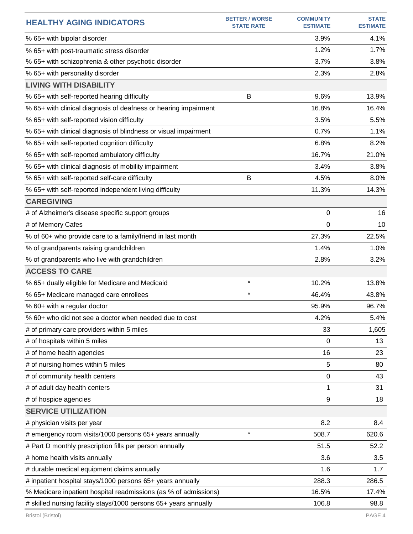| <b>HEALTHY AGING INDICATORS</b>                                  | <b>BETTER / WORSE</b><br><b>STATE RATE</b> | <b>COMMUNITY</b><br><b>ESTIMATE</b> | <b>STATE</b><br><b>ESTIMATE</b> |
|------------------------------------------------------------------|--------------------------------------------|-------------------------------------|---------------------------------|
| % 65+ with bipolar disorder                                      |                                            | 3.9%                                | 4.1%                            |
| % 65+ with post-traumatic stress disorder                        |                                            | 1.2%                                | 1.7%                            |
| % 65+ with schizophrenia & other psychotic disorder              |                                            | 3.7%                                | 3.8%                            |
| % 65+ with personality disorder                                  |                                            | 2.3%                                | 2.8%                            |
| <b>LIVING WITH DISABILITY</b>                                    |                                            |                                     |                                 |
| % 65+ with self-reported hearing difficulty                      | B                                          | 9.6%                                | 13.9%                           |
| % 65+ with clinical diagnosis of deafness or hearing impairment  |                                            | 16.8%                               | 16.4%                           |
| % 65+ with self-reported vision difficulty                       |                                            | 3.5%                                | 5.5%                            |
| % 65+ with clinical diagnosis of blindness or visual impairment  |                                            | 0.7%                                | 1.1%                            |
| % 65+ with self-reported cognition difficulty                    |                                            | 6.8%                                | 8.2%                            |
| % 65+ with self-reported ambulatory difficulty                   |                                            | 16.7%                               | 21.0%                           |
| % 65+ with clinical diagnosis of mobility impairment             |                                            | 3.4%                                | 3.8%                            |
| % 65+ with self-reported self-care difficulty                    | B                                          | 4.5%                                | 8.0%                            |
| % 65+ with self-reported independent living difficulty           |                                            | 11.3%                               | 14.3%                           |
| <b>CAREGIVING</b>                                                |                                            |                                     |                                 |
| # of Alzheimer's disease specific support groups                 |                                            | 0                                   | 16                              |
| # of Memory Cafes                                                |                                            | 0                                   | 10                              |
| % of 60+ who provide care to a family/friend in last month       |                                            | 27.3%                               | 22.5%                           |
| % of grandparents raising grandchildren                          |                                            | 1.4%                                | 1.0%                            |
| % of grandparents who live with grandchildren                    |                                            | 2.8%                                | 3.2%                            |
| <b>ACCESS TO CARE</b>                                            |                                            |                                     |                                 |
| % 65+ dually eligible for Medicare and Medicaid                  | $\star$                                    | 10.2%                               | 13.8%                           |
| % 65+ Medicare managed care enrollees                            | $\star$                                    | 46.4%                               | 43.8%                           |
| % 60+ with a regular doctor                                      |                                            | 95.9%                               | 96.7%                           |
| % 60+ who did not see a doctor when needed due to cost           |                                            | 4.2%                                | 5.4%                            |
| # of primary care providers within 5 miles                       |                                            | 33                                  | 1,605                           |
| # of hospitals within 5 miles                                    |                                            | 0                                   | 13                              |
| # of home health agencies                                        |                                            | 16                                  | 23                              |
| # of nursing homes within 5 miles                                |                                            | 5                                   | 80                              |
| # of community health centers                                    |                                            | 0                                   | 43                              |
| # of adult day health centers                                    |                                            | 1                                   | 31                              |
| # of hospice agencies                                            |                                            | 9                                   | 18                              |
| <b>SERVICE UTILIZATION</b>                                       |                                            |                                     |                                 |
| # physician visits per year                                      |                                            | 8.2                                 | 8.4                             |
| # emergency room visits/1000 persons 65+ years annually          | $\star$                                    | 508.7                               | 620.6                           |
| # Part D monthly prescription fills per person annually          |                                            | 51.5                                | 52.2                            |
| # home health visits annually                                    |                                            | 3.6                                 | 3.5                             |
| # durable medical equipment claims annually                      |                                            | 1.6                                 | 1.7                             |
| # inpatient hospital stays/1000 persons 65+ years annually       |                                            | 288.3                               | 286.5                           |
| % Medicare inpatient hospital readmissions (as % of admissions)  |                                            | 16.5%                               | 17.4%                           |
| # skilled nursing facility stays/1000 persons 65+ years annually |                                            | 106.8                               | 98.8                            |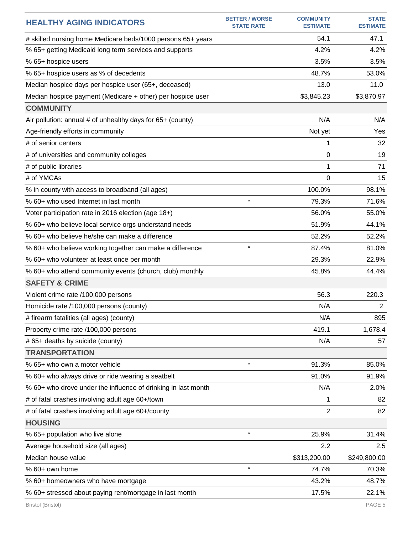| <b>HEALTHY AGING INDICATORS</b>                               | <b>BETTER / WORSE</b><br><b>STATE RATE</b> | <b>COMMUNITY</b><br><b>ESTIMATE</b> | <b>STATE</b><br><b>ESTIMATE</b> |
|---------------------------------------------------------------|--------------------------------------------|-------------------------------------|---------------------------------|
| # skilled nursing home Medicare beds/1000 persons 65+ years   |                                            | 54.1                                | 47.1                            |
| % 65+ getting Medicaid long term services and supports        |                                            | 4.2%                                | 4.2%                            |
| % 65+ hospice users                                           |                                            | 3.5%                                | 3.5%                            |
| % 65+ hospice users as % of decedents                         |                                            | 48.7%                               | 53.0%                           |
| Median hospice days per hospice user (65+, deceased)          |                                            | 13.0                                | 11.0                            |
| Median hospice payment (Medicare + other) per hospice user    |                                            | \$3,845.23                          | \$3,870.97                      |
| <b>COMMUNITY</b>                                              |                                            |                                     |                                 |
| Air pollution: annual # of unhealthy days for 65+ (county)    |                                            | N/A                                 | N/A                             |
| Age-friendly efforts in community                             |                                            | Not yet                             | Yes                             |
| # of senior centers                                           |                                            | 1                                   | 32                              |
| # of universities and community colleges                      |                                            | 0                                   | 19                              |
| # of public libraries                                         |                                            | 1                                   | 71                              |
| # of YMCAs                                                    |                                            | 0                                   | 15                              |
| % in county with access to broadband (all ages)               |                                            | 100.0%                              | 98.1%                           |
| % 60+ who used Internet in last month                         | $\star$                                    | 79.3%                               | 71.6%                           |
| Voter participation rate in 2016 election (age 18+)           |                                            | 56.0%                               | 55.0%                           |
| % 60+ who believe local service orgs understand needs         |                                            | 51.9%                               | 44.1%                           |
| % 60+ who believe he/she can make a difference                |                                            | 52.2%                               | 52.2%                           |
| % 60+ who believe working together can make a difference      | $\star$                                    | 87.4%                               | 81.0%                           |
| % 60+ who volunteer at least once per month                   |                                            | 29.3%                               | 22.9%                           |
| % 60+ who attend community events (church, club) monthly      |                                            | 45.8%                               | 44.4%                           |
| <b>SAFETY &amp; CRIME</b>                                     |                                            |                                     |                                 |
| Violent crime rate /100,000 persons                           |                                            | 56.3                                | 220.3                           |
| Homicide rate /100,000 persons (county)                       |                                            | N/A                                 | $\overline{2}$                  |
| # firearm fatalities (all ages) (county)                      |                                            | N/A                                 | 895                             |
| Property crime rate /100,000 persons                          |                                            | 419.1                               | 1,678.4                         |
| # 65+ deaths by suicide (county)                              |                                            | N/A                                 | 57                              |
| <b>TRANSPORTATION</b>                                         |                                            |                                     |                                 |
| % 65+ who own a motor vehicle                                 | $\star$                                    | 91.3%                               | 85.0%                           |
| % 60+ who always drive or ride wearing a seatbelt             |                                            | 91.0%                               | 91.9%                           |
| % 60+ who drove under the influence of drinking in last month |                                            | N/A                                 | 2.0%                            |
| # of fatal crashes involving adult age 60+/town               |                                            | 1                                   | 82                              |
| # of fatal crashes involving adult age 60+/county             |                                            | 2                                   | 82                              |
| <b>HOUSING</b>                                                |                                            |                                     |                                 |
| % 65+ population who live alone                               | $\star$                                    | 25.9%                               | 31.4%                           |
| Average household size (all ages)                             |                                            | 2.2                                 | 2.5                             |
| Median house value                                            |                                            | \$313,200.00                        | \$249,800.00                    |
| % 60+ own home                                                | $\star$                                    | 74.7%                               | 70.3%                           |
| % 60+ homeowners who have mortgage                            |                                            | 43.2%                               | 48.7%                           |
| % 60+ stressed about paying rent/mortgage in last month       |                                            | 17.5%                               | 22.1%                           |